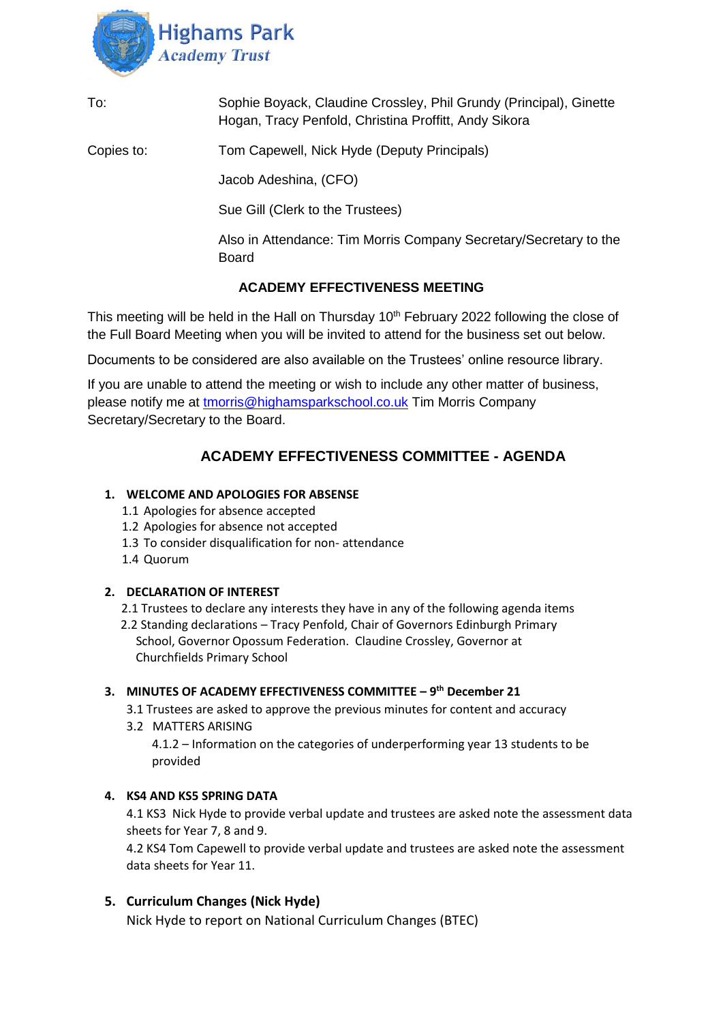

| To: | Sophie Boyack, Claudine Crossley, Phil Grundy (Principal), Ginette |
|-----|--------------------------------------------------------------------|
|     | Hogan, Tracy Penfold, Christina Proffitt, Andy Sikora              |

Copies to: Tom Capewell, Nick Hyde (Deputy Principals)

Jacob Adeshina, (CFO)

Sue Gill (Clerk to the Trustees)

Also in Attendance: Tim Morris Company Secretary/Secretary to the Board

## **ACADEMY EFFECTIVENESS MEETING**

This meeting will be held in the Hall on Thursday  $10<sup>th</sup>$  February 2022 following the close of the Full Board Meeting when you will be invited to attend for the business set out below.

Documents to be considered are also available on the Trustees' online resource library.

If you are unable to attend the meeting or wish to include any other matter of business, please notify me at [tmorris@highamsparkschool.co.uk](mailto:tmorris@highamsparkschool.co.uk) Tim Morris Company Secretary/Secretary to the Board.

# **ACADEMY EFFECTIVENESS COMMITTEE - AGENDA**

### **1. WELCOME AND APOLOGIES FOR ABSENSE**

- 1.1 Apologies for absence accepted
- 1.2 Apologies for absence not accepted
- 1.3 To consider disqualification for non- attendance
- 1.4 Quorum

### **2. DECLARATION OF INTEREST**

2.1 Trustees to declare any interests they have in any of the following agenda items

 2.2 Standing declarations – Tracy Penfold, Chair of Governors Edinburgh Primary School, Governor Opossum Federation. Claudine Crossley, Governor at Churchfields Primary School

### **3. MINUTES OF ACADEMY EFFECTIVENESS COMMITTEE – 9 th December 21**

- 3.1 Trustees are asked to approve the previous minutes for content and accuracy
- 3.2 MATTERS ARISING

4.1.2 – Information on the categories of underperforming year 13 students to be provided

### **4. KS4 AND KS5 SPRING DATA**

4.1 KS3 Nick Hyde to provide verbal update and trustees are asked note the assessment data sheets for Year 7, 8 and 9.

4.2 KS4 Tom Capewell to provide verbal update and trustees are asked note the assessment data sheets for Year 11.

### **5. Curriculum Changes (Nick Hyde)**

Nick Hyde to report on National Curriculum Changes (BTEC)